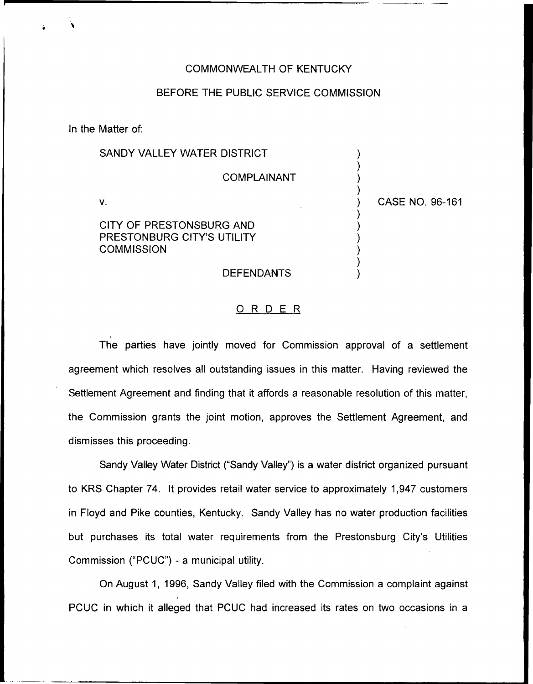#### COMMONWEALTH OF KENTUCKY

## BEFORE THE PUBLIC SERVICE COMMISSION

In the Matter of:

| SANDY VALLEY WATER DISTRICT                                                 |                 |
|-----------------------------------------------------------------------------|-----------------|
| <b>COMPLAINANT</b>                                                          |                 |
| V.                                                                          | CASE NO. 96-161 |
| CITY OF PRESTONSBURG AND<br>PRESTONBURG CITY'S UTILITY<br><b>COMMISSION</b> |                 |
| <b>DEFENDANTS</b>                                                           |                 |

## 0 <sup>R</sup> <sup>D</sup> <sup>E</sup> <sup>R</sup>

The parties have jointly moved for Commission approval of a settlement agreement which resolves all outstanding issues in this matter. Having reviewed the Settlement Agreement and finding that it affords a reasonable resolution of this matter, the Commission grants the joint motion, approves the Settlement Agreement, and dismisses this proceeding.

Sandy Valley Water District ("Sandy Valley") is a water district organized pursual to KRS Chapter 74. It provides retail water service to approximately 1,947 customers in Floyd and Pike counties, Kentucky. Sandy Valley has no water production facilities but purchases its total water requirements from the Prestonsburg City's Utilities Commission ("PCUC") - a municipal utility.

On August 1, 1996, Sandy Valley filed with the Commission a complaint against PCUC in which it alleged that PCUC had increased its rates on two occasions in a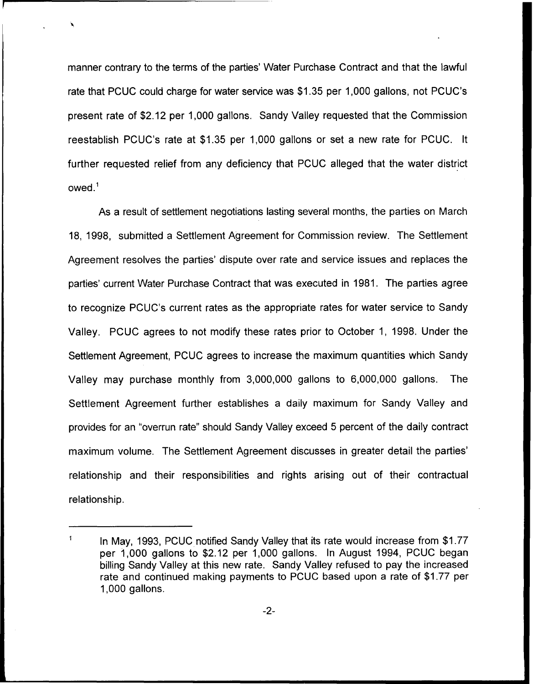manner contrary to the terms of the parties' Water Purchase Contract and that the lawful rate that PCUC could charge for water service was \$1.35 per 1,000 gallons, not PCUC's present rate of \$2.12 per 1,000 gallons. Sandy Valley requested that the Commission reestablish PCUC's rate at \$1.35 per 1,000 gallons or set a new rate for PCUC. It further requested relief from any deficiency that PCUC alleged that the water district owed.

As a result of settlement negotiations lasting several months, the parties on March 18, 1998, submitted a Settlement Agreement for Commission review. The Settlement Agreement resolves the parties' dispute over rate and service issues and replaces the parties' current Water Purchase Contract that was executed in 1981. The parties agree to recognize PCUC's current rates as the appropriate rates for water service to Sandy Valley. PCUC agrees to not modify these rates prior to October 1, 1998. Under the Settlement Agreement, PCUC agrees to increase the maximum quantities which Sandy Valley may purchase monthly from 3,000,000 gallons to 6,000,000 gallons. The Settlement Agreement further establishes a daily maximum for Sandy Valley and provides for an "overrun rate" should Sandy Valley exceed 5 percent of the daily contract maximum volume. The Settlement Agreement discusses in greater detail the parties' relationship and their responsibilities and rights arising out of their contractual relationship.

 $\ddot{\mathbf{1}}$ In May, 1993, PCUC notified Sandy Valley that its rate would increase from \$1.77 per 1,000 gallons to \$2.12 per 1,000 gallons. In August 1994, PCUC began billing Sandy Valley at this new rate. Sandy Valley refused to pay the increased rate and continued making payments to PCUC based upon a rate of \$1.77 per 1,000 gallons.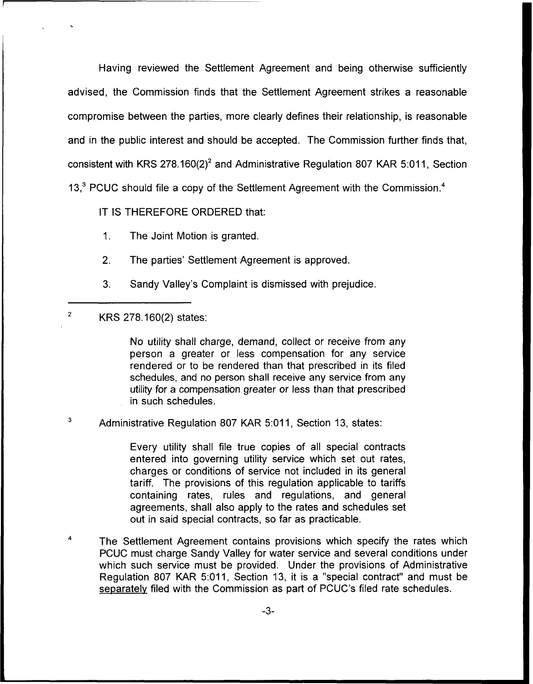Having reviewed the Settlement Agreement and being otherwise sufficiently advised, the Commission finds that the Settlement Agreement strikes a reasonable compromise between the parties, more clearly defines their relationship, is reasonable and in the public interest and should be accepted. The Commission further finds that, consistent with KRS 278.160(2)<sup>2</sup> and Administrative Regulation 807 KAR 5:011, Section 13, $3$  PCUC should file a copy of the Settlement Agreement with the Commission.<sup>4</sup>

IT IS THEREFORE ORDERED that:

- 1. The Joint Motion is granted.
- 2. The parties' Settlement Agreement is approved.
- 3. Sandy Valley's Complaint is dismissed with prejudice.

#### $\overline{2}$ KRS 278.160(2) states:

No utility shall charge, demand, collect or receive from any person a greater or less compensation for any service rendered or to be rendered than that prescribed in its filed schedules, and no person shall receive any service from any utility for a compensation greater or less than that prescribed in such schedules.

3 Administrative Regulation 807 KAR 5:011, Section 13, states:

> Every utility shall file true copies of all special contracts entered into governing utility service which set out rates, charges or conditions of service not included in its general tariff. The provisions of this regulation applicable to tariffs containing rates, rules and regulations, and general agreements, shall also apply to the rates and schedules set out in said special contracts, so far as practicable.

 $\overline{4}$ The Settlement Agreement contains provisions which specify the rates which PCUC must charge Sandy Valley for water service and several conditions under which such service must be provided. Under the provisions of Administrative Regulation 807 KAR 5:011, Section 13, it is a "special contract" and must be senaratelv filed with the Commission as part of PCUC's filed rate schedules.